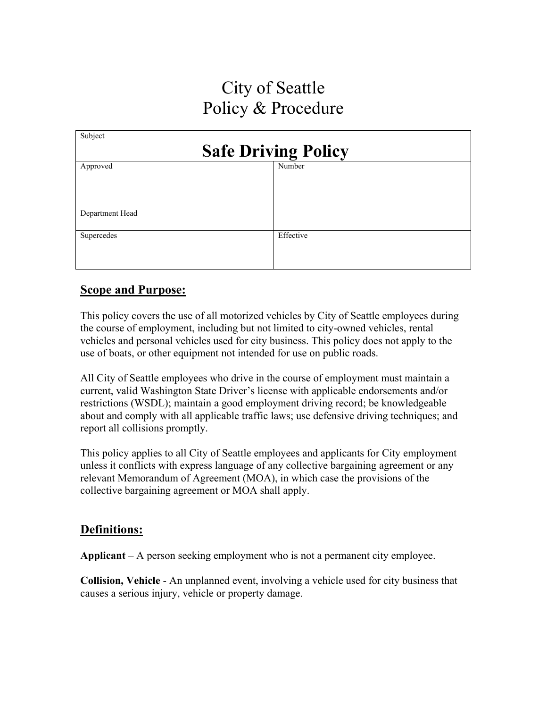# City of Seattle Policy & Procedure

| Subject                    |           |
|----------------------------|-----------|
| <b>Safe Driving Policy</b> |           |
| Approved                   | Number    |
|                            |           |
|                            |           |
|                            |           |
| Department Head            |           |
| Supercedes                 | Effective |
|                            |           |
|                            |           |
|                            |           |

# **Scope and Purpose:**

This policy covers the use of all motorized vehicles by City of Seattle employees during the course of employment, including but not limited to city-owned vehicles, rental vehicles and personal vehicles used for city business. This policy does not apply to the use of boats, or other equipment not intended for use on public roads.

All City of Seattle employees who drive in the course of employment must maintain a current, valid Washington State Driver's license with applicable endorsements and/or restrictions (WSDL); maintain a good employment driving record; be knowledgeable about and comply with all applicable traffic laws; use defensive driving techniques; and report all collisions promptly.

This policy applies to all City of Seattle employees and applicants for City employment unless it conflicts with express language of any collective bargaining agreement or any relevant Memorandum of Agreement (MOA), in which case the provisions of the collective bargaining agreement or MOA shall apply.

# **Definitions:**

**Applicant** – A person seeking employment who is not a permanent city employee.

**Collision, Vehicle** - An unplanned event, involving a vehicle used for city business that causes a serious injury, vehicle or property damage.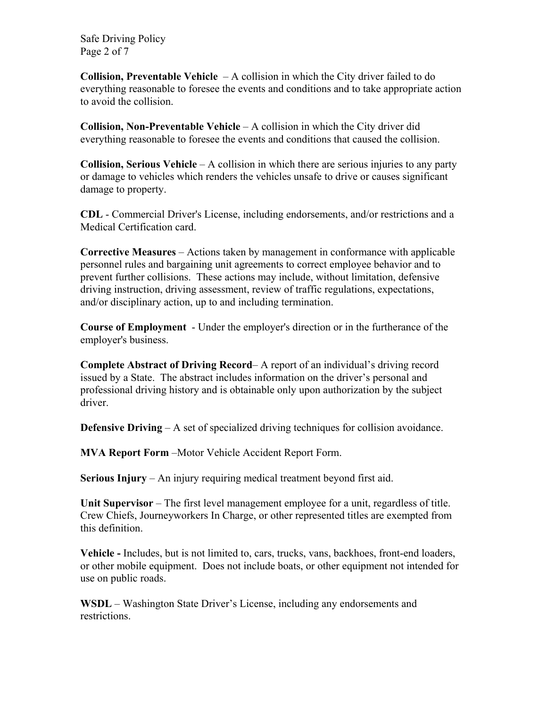Safe Driving Policy Page 2 of 7

**Collision, Preventable Vehicle** – A collision in which the City driver failed to do everything reasonable to foresee the events and conditions and to take appropriate action to avoid the collision.

**Collision, Non-Preventable Vehicle** – A collision in which the City driver did everything reasonable to foresee the events and conditions that caused the collision.

**Collision, Serious Vehicle** – A collision in which there are serious injuries to any party or damage to vehicles which renders the vehicles unsafe to drive or causes significant damage to property.

**CDL** - Commercial Driver's License, including endorsements, and/or restrictions and a Medical Certification card.

**Corrective Measures** – Actions taken by management in conformance with applicable personnel rules and bargaining unit agreements to correct employee behavior and to prevent further collisions. These actions may include, without limitation, defensive driving instruction, driving assessment, review of traffic regulations, expectations, and/or disciplinary action, up to and including termination.

**Course of Employment** - Under the employer's direction or in the furtherance of the employer's business.

**Complete Abstract of Driving Record**– A report of an individual's driving record issued by a State. The abstract includes information on the driver's personal and professional driving history and is obtainable only upon authorization by the subject driver.

**Defensive Driving** – A set of specialized driving techniques for collision avoidance.

**MVA Report Form** –Motor Vehicle Accident Report Form.

**Serious Injury** – An injury requiring medical treatment beyond first aid.

**Unit Supervisor** – The first level management employee for a unit, regardless of title. Crew Chiefs, Journeyworkers In Charge, or other represented titles are exempted from this definition.

**Vehicle -** Includes, but is not limited to, cars, trucks, vans, backhoes, front-end loaders, or other mobile equipment. Does not include boats, or other equipment not intended for use on public roads.

**WSDL** – Washington State Driver's License, including any endorsements and restrictions.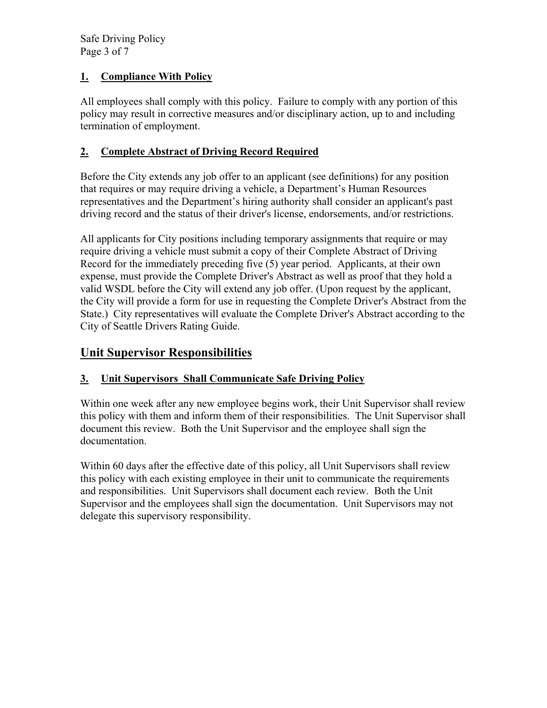Safe Driving Policy Page 3 of 7

# **1. Compliance With Policy**

All employees shall comply with this policy. Failure to comply with any portion of this policy may result in corrective measures and/or disciplinary action, up to and including termination of employment.

## **2. Complete Abstract of Driving Record Required**

Before the City extends any job offer to an applicant (see definitions) for any position that requires or may require driving a vehicle, a Department's Human Resources representatives and the Department's hiring authority shall consider an applicant's past driving record and the status of their driver's license, endorsements, and/or restrictions.

All applicants for City positions including temporary assignments that require or may require driving a vehicle must submit a copy of their Complete Abstract of Driving Record for the immediately preceding five (5) year period. Applicants, at their own expense, must provide the Complete Driver's Abstract as well as proof that they hold a valid WSDL before the City will extend any job offer. (Upon request by the applicant, the City will provide a form for use in requesting the Complete Driver's Abstract from the State.) City representatives will evaluate the Complete Driver's Abstract according to the City of Seattle Drivers Rating Guide.

# **Unit Supervisor Responsibilities**

# **3. Unit Supervisors Shall Communicate Safe Driving Policy**

Within one week after any new employee begins work, their Unit Supervisor shall review this policy with them and inform them of their responsibilities. The Unit Supervisor shall document this review. Both the Unit Supervisor and the employee shall sign the documentation.

Within 60 days after the effective date of this policy, all Unit Supervisors shall review this policy with each existing employee in their unit to communicate the requirements and responsibilities. Unit Supervisors shall document each review. Both the Unit Supervisor and the employees shall sign the documentation. Unit Supervisors may not delegate this supervisory responsibility.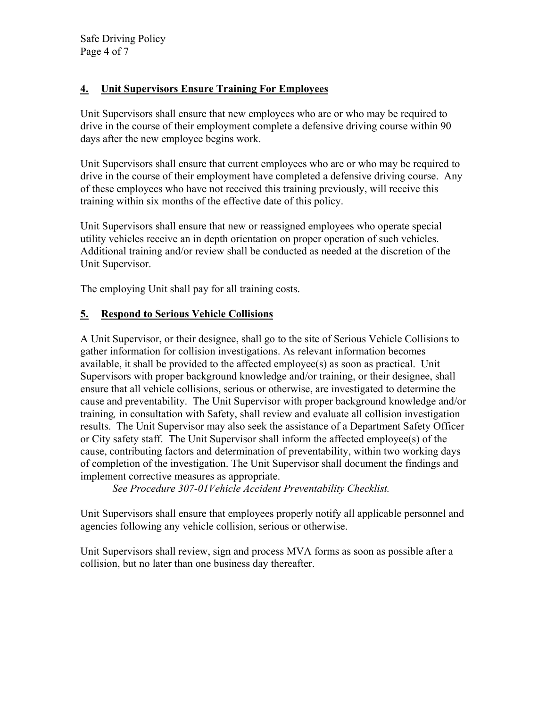Safe Driving Policy Page 4 of 7

## **4. Unit Supervisors Ensure Training For Employees**

Unit Supervisors shall ensure that new employees who are or who may be required to drive in the course of their employment complete a defensive driving course within 90 days after the new employee begins work.

Unit Supervisors shall ensure that current employees who are or who may be required to drive in the course of their employment have completed a defensive driving course. Any of these employees who have not received this training previously, will receive this training within six months of the effective date of this policy.

Unit Supervisors shall ensure that new or reassigned employees who operate special utility vehicles receive an in depth orientation on proper operation of such vehicles. Additional training and/or review shall be conducted as needed at the discretion of the Unit Supervisor.

The employing Unit shall pay for all training costs.

# **5. Respond to Serious Vehicle Collisions**

A Unit Supervisor, or their designee, shall go to the site of Serious Vehicle Collisions to gather information for collision investigations. As relevant information becomes available, it shall be provided to the affected employee(s) as soon as practical. Unit Supervisors with proper background knowledge and/or training, or their designee, shall ensure that all vehicle collisions, serious or otherwise, are investigated to determine the cause and preventability. The Unit Supervisor with proper background knowledge and/or training*,* in consultation with Safety, shall review and evaluate all collision investigation results. The Unit Supervisor may also seek the assistance of a Department Safety Officer or City safety staff. The Unit Supervisor shall inform the affected employee(s) of the cause, contributing factors and determination of preventability, within two working days of completion of the investigation. The Unit Supervisor shall document the findings and implement corrective measures as appropriate.

*See Procedure 307-01Vehicle Accident Preventability Checklist.* 

Unit Supervisors shall ensure that employees properly notify all applicable personnel and agencies following any vehicle collision, serious or otherwise.

Unit Supervisors shall review, sign and process MVA forms as soon as possible after a collision, but no later than one business day thereafter.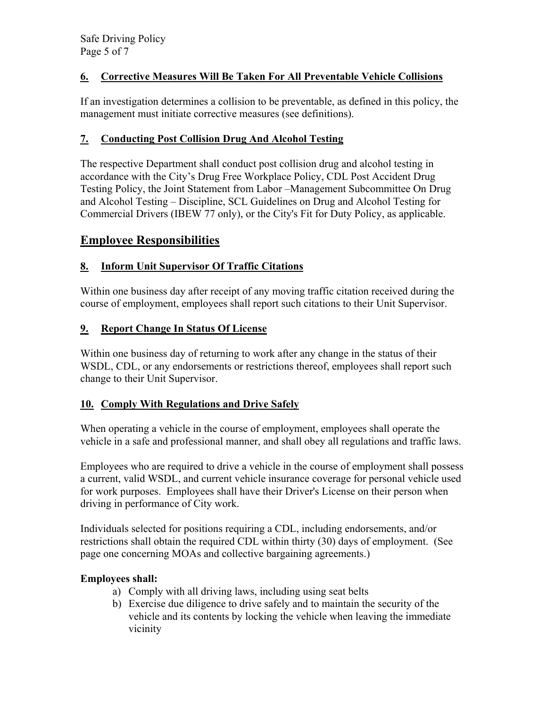# **6. Corrective Measures Will Be Taken For All Preventable Vehicle Collisions**

If an investigation determines a collision to be preventable, as defined in this policy, the management must initiate corrective measures (see definitions).

## **7. Conducting Post Collision Drug And Alcohol Testing**

The respective Department shall conduct post collision drug and alcohol testing in accordance with the City's Drug Free Workplace Policy, CDL Post Accident Drug Testing Policy, the Joint Statement from Labor –Management Subcommittee On Drug and Alcohol Testing – Discipline, SCL Guidelines on Drug and Alcohol Testing for Commercial Drivers (IBEW 77 only), or the City's Fit for Duty Policy, as applicable.

# **Employee Responsibilities**

# **8. Inform Unit Supervisor Of Traffic Citations**

Within one business day after receipt of any moving traffic citation received during the course of employment, employees shall report such citations to their Unit Supervisor.

## **9. Report Change In Status Of License**

Within one business day of returning to work after any change in the status of their WSDL, CDL, or any endorsements or restrictions thereof, employees shall report such change to their Unit Supervisor.

#### **10. Comply With Regulations and Drive Safely**

When operating a vehicle in the course of employment, employees shall operate the vehicle in a safe and professional manner, and shall obey all regulations and traffic laws.

Employees who are required to drive a vehicle in the course of employment shall possess a current, valid WSDL, and current vehicle insurance coverage for personal vehicle used for work purposes. Employees shall have their Driver's License on their person when driving in performance of City work.

Individuals selected for positions requiring a CDL, including endorsements, and/or restrictions shall obtain the required CDL within thirty (30) days of employment. (See page one concerning MOAs and collective bargaining agreements.)

#### **Employees shall:**

- a) Comply with all driving laws, including using seat belts
- b) Exercise due diligence to drive safely and to maintain the security of the vehicle and its contents by locking the vehicle when leaving the immediate vicinity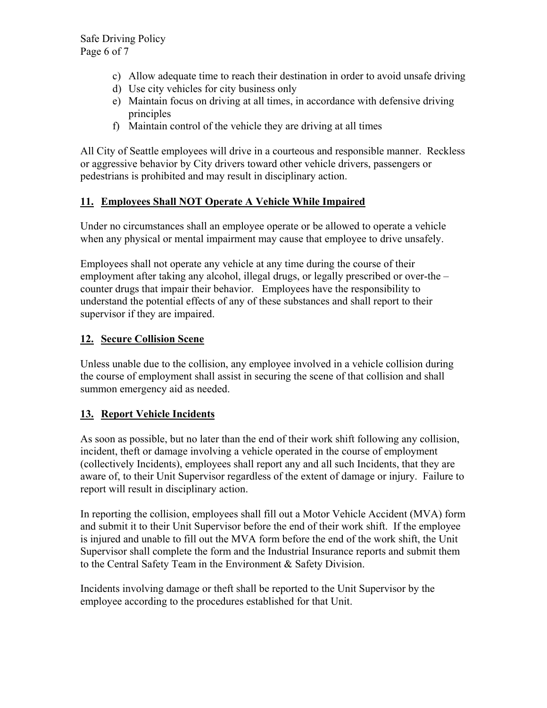- c) Allow adequate time to reach their destination in order to avoid unsafe driving
- d) Use city vehicles for city business only
- e) Maintain focus on driving at all times, in accordance with defensive driving principles
- f) Maintain control of the vehicle they are driving at all times

All City of Seattle employees will drive in a courteous and responsible manner. Reckless or aggressive behavior by City drivers toward other vehicle drivers, passengers or pedestrians is prohibited and may result in disciplinary action.

# **11. Employees Shall NOT Operate A Vehicle While Impaired**

Under no circumstances shall an employee operate or be allowed to operate a vehicle when any physical or mental impairment may cause that employee to drive unsafely.

Employees shall not operate any vehicle at any time during the course of their employment after taking any alcohol, illegal drugs, or legally prescribed or over-the – counter drugs that impair their behavior. Employees have the responsibility to understand the potential effects of any of these substances and shall report to their supervisor if they are impaired.

# **12. Secure Collision Scene**

Unless unable due to the collision, any employee involved in a vehicle collision during the course of employment shall assist in securing the scene of that collision and shall summon emergency aid as needed.

# **13. Report Vehicle Incidents**

As soon as possible, but no later than the end of their work shift following any collision, incident, theft or damage involving a vehicle operated in the course of employment (collectively Incidents), employees shall report any and all such Incidents, that they are aware of, to their Unit Supervisor regardless of the extent of damage or injury. Failure to report will result in disciplinary action.

In reporting the collision, employees shall fill out a Motor Vehicle Accident (MVA) form and submit it to their Unit Supervisor before the end of their work shift. If the employee is injured and unable to fill out the MVA form before the end of the work shift, the Unit Supervisor shall complete the form and the Industrial Insurance reports and submit them to the Central Safety Team in the Environment & Safety Division.

Incidents involving damage or theft shall be reported to the Unit Supervisor by the employee according to the procedures established for that Unit.